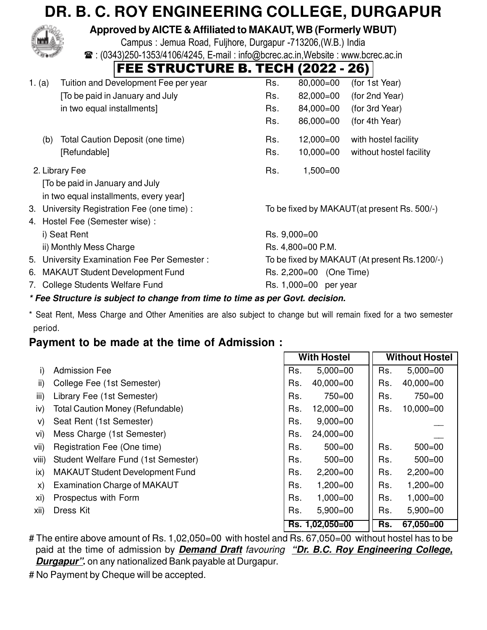# **DR. B. C. ROY ENGINEERING COLLEGE, DURGAPUR**



### **Approved by AICTE & Affiliated to MAKAUT, WB (Formerly WBUT)**

Campus : Jemua Road, Fuljhore, Durgapur -713206,(W.B.) India  $\mathbf{R}$ : (0343)250-1353/4106/4245, E-mail: info@bcrec.ac.in, Website: www.bcrec.ac.in

## **FEE STRUCTURE B. TECH (2022 - 26)**

| 1. (a)         |                                                                                           | Tuition and Development Fee per year                                         | Rs.               | 80,000=00                                    | (for 1st Year)          |  |  |  |  |
|----------------|-------------------------------------------------------------------------------------------|------------------------------------------------------------------------------|-------------------|----------------------------------------------|-------------------------|--|--|--|--|
|                |                                                                                           | [To be paid in January and July                                              | Rs.               | 82,000=00                                    | (for 2nd Year)          |  |  |  |  |
|                |                                                                                           | in two equal installments]                                                   | Rs.               | 84,000=00                                    | (for 3rd Year)          |  |  |  |  |
|                |                                                                                           |                                                                              | Rs.               | 86,000=00                                    | (for 4th Year)          |  |  |  |  |
|                | (b)                                                                                       | Total Caution Deposit (one time)                                             | Rs.               | $12,000 = 00$                                | with hostel facility    |  |  |  |  |
|                |                                                                                           | [Refundable]                                                                 | Rs.               | $10,000 = 00$                                | without hostel facility |  |  |  |  |
| 2. Library Fee |                                                                                           |                                                                              | Rs.               | $1,500 = 00$                                 |                         |  |  |  |  |
|                |                                                                                           | [To be paid in January and July                                              |                   |                                              |                         |  |  |  |  |
|                |                                                                                           | in two equal installments, every year]                                       |                   |                                              |                         |  |  |  |  |
|                | To be fixed by MAKAUT(at present Rs. 500/-)<br>3. University Registration Fee (one time): |                                                                              |                   |                                              |                         |  |  |  |  |
|                |                                                                                           | 4. Hostel Fee (Semester wise):                                               |                   |                                              |                         |  |  |  |  |
|                |                                                                                           | i) Seat Rent                                                                 | Rs. 9,000=00      |                                              |                         |  |  |  |  |
|                |                                                                                           | ii) Monthly Mess Charge                                                      | Rs. 4,800=00 P.M. |                                              |                         |  |  |  |  |
|                |                                                                                           | 5. University Examination Fee Per Semester:                                  |                   | To be fixed by MAKAUT (At present Rs.1200/-) |                         |  |  |  |  |
| 6.             |                                                                                           | <b>MAKAUT Student Development Fund</b>                                       |                   | Rs. 2,200=00 (One Time)                      |                         |  |  |  |  |
|                |                                                                                           | 7. College Students Welfare Fund                                             |                   | Rs. 1,000=00 per year                        |                         |  |  |  |  |
|                |                                                                                           | * Ego Strugture is subject to abange from time to time as nor Cout, degision |                   |                                              |                         |  |  |  |  |

#### **\* Fee Structure is subject to change from time to time as per Govt. decision.**

\* Seat Rent, Mess Charge and Other Amenities are also subject to change but will remain fixed for a two semester period.

### **Payment to be made at the time of Admission :**

|       |                                         |     | <b>With Hostel</b> | <b>Without Hostel</b> |               |  |
|-------|-----------------------------------------|-----|--------------------|-----------------------|---------------|--|
| i)    | <b>Admission Fee</b>                    | Rs. | $5,000=00$         | Rs.                   | $5,000=00$    |  |
| ii)   | College Fee (1st Semester)              | Rs. | $40,000 = 00$      | Rs.                   | $40,000 = 00$ |  |
| iii)  | Library Fee (1st Semester)              | Rs. | $750 = 00$         | Rs.                   | $750 = 00$    |  |
| iv)   | <b>Total Caution Money (Refundable)</b> | Rs. | $12,000 = 00$      | Rs.                   | $10,000 = 00$ |  |
| V)    | Seat Rent (1st Semester)                | Rs. | $9,000 = 00$       |                       |               |  |
| vi)   | Mess Charge (1st Semester)              | Rs. | $24,000 = 00$      |                       |               |  |
| vii)  | Registration Fee (One time)             | Rs. | $500 = 00$         | Rs.                   | $500 = 00$    |  |
| viii) | Student Welfare Fund (1st Semester)     | Rs. | $500 = 00$         | Rs.                   | $500 = 00$    |  |
| ix)   | <b>MAKAUT Student Development Fund</b>  | Rs. | $2,200=00$         | Rs.                   | $2,200=00$    |  |
| X)    | <b>Examination Charge of MAKAUT</b>     | Rs. | $1,200=00$         | Rs.                   | $1,200=00$    |  |
| xi)   | Prospectus with Form                    | Rs. | $1,000 = 00$       | Rs.                   | $1,000 = 00$  |  |
| xii)  | Dress Kit                               | Rs. | $5,900=00$         | Rs.                   | $5,900 = 00$  |  |
|       |                                         |     | Rs. 1,02,050=00    |                       | 67,050=00     |  |

# The entire above amount of Rs. 1,02,050=00 with hostel and Rs. 67,050=00 without hostel has to be paid at the time of admission by **Demand Draft** favouring **"Dr. B.C. Roy Engineering College, Durgapur".** on any nationalized Bank payable at Durgapur.

# No Payment by Cheque will be accepted.